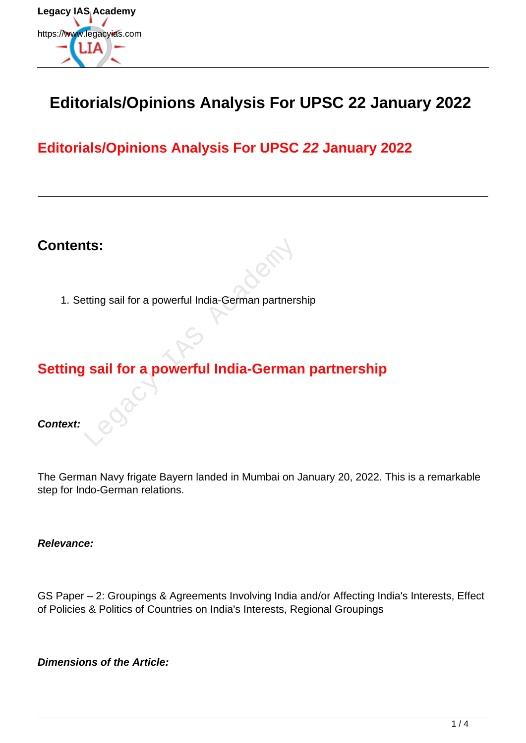

# **Editorials/Opinions Analysis For UPSC 22 January 2022**

# **Editorials/Opinions Analysis For UPSC 22 January 2022**

## **Contents:**

1. Setting sail for a powerful India-German partnership

# **Setting sail for a powerful India-German partnership** Extring sail for a powerful India-German partners<br>
Sail for a powerful India-German<br>
Sail for a powerful India-German<br>
Sail for a powerful India-German<br>
Sail for a powerful India-German<br>
Sail for a powerful India-German<br>
S

**Context:**

The German Navy frigate Bayern landed in Mumbai on January 20, 2022. This is a remarkable step for Indo-German relations.

**Relevance:**

GS Paper – 2: Groupings & Agreements Involving India and/or Affecting India's Interests, Effect of Policies & Politics of Countries on India's Interests, Regional Groupings

**Dimensions of the Article:**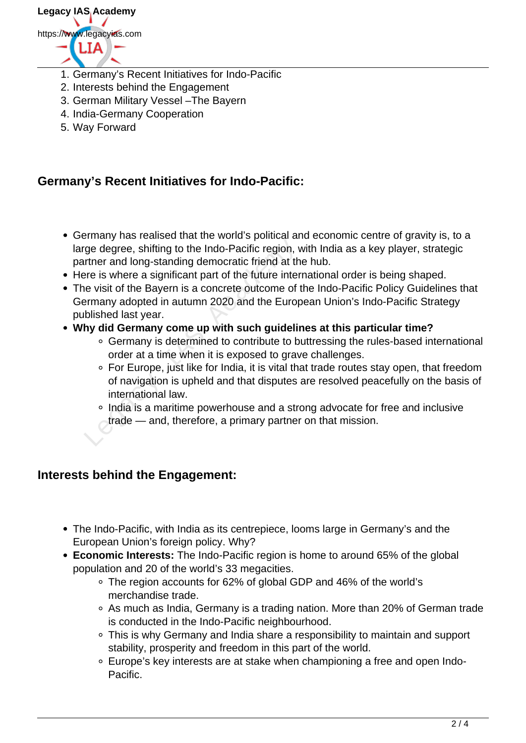

- 1. Germany's Recent Initiatives for Indo-Pacific
- 2. Interests behind the Engagement
- 3. German Military Vessel –The Bayern
- 4. India-Germany Cooperation
- 5. Way Forward

### **Germany's Recent Initiatives for Indo-Pacific:**

- Germany has realised that the world's political and economic centre of gravity is, to a large degree, shifting to the Indo-Pacific region, with India as a key player, strategic partner and long-standing democratic friend at the hub.
- Here is where a significant part of the future international order is being shaped.
- The visit of the Bayern is a concrete outcome of the Indo-Pacific Policy Guidelines that Germany adopted in autumn 2020 and the European Union's Indo-Pacific Strategy published last year. ge degree, shifting to the Indo-Pacific region, writher and long-standing democratic friend at the resume is where a significant part of the future interevisit of the Bayern is a concrete outcome of ermany adopted in autum
- **Why did Germany come up with such guidelines at this particular time?**
	- Germany is determined to contribute to buttressing the rules-based international order at a time when it is exposed to grave challenges.
	- For Europe, just like for India, it is vital that trade routes stay open, that freedom of navigation is upheld and that disputes are resolved peacefully on the basis of international law.
	- o India is a maritime powerhouse and a strong advocate for free and inclusive trade — and, therefore, a primary partner on that mission.

### **Interests behind the Engagement:**

- The Indo-Pacific, with India as its centrepiece, looms large in Germany's and the European Union's foreign policy. Why?
- **Economic Interests:** The Indo-Pacific region is home to around 65% of the global population and 20 of the world's 33 megacities.
	- The region accounts for 62% of global GDP and 46% of the world's merchandise trade.
	- As much as India, Germany is a trading nation. More than 20% of German trade is conducted in the Indo-Pacific neighbourhood.
	- This is why Germany and India share a responsibility to maintain and support stability, prosperity and freedom in this part of the world.
	- Europe's key interests are at stake when championing a free and open Indo-Pacific.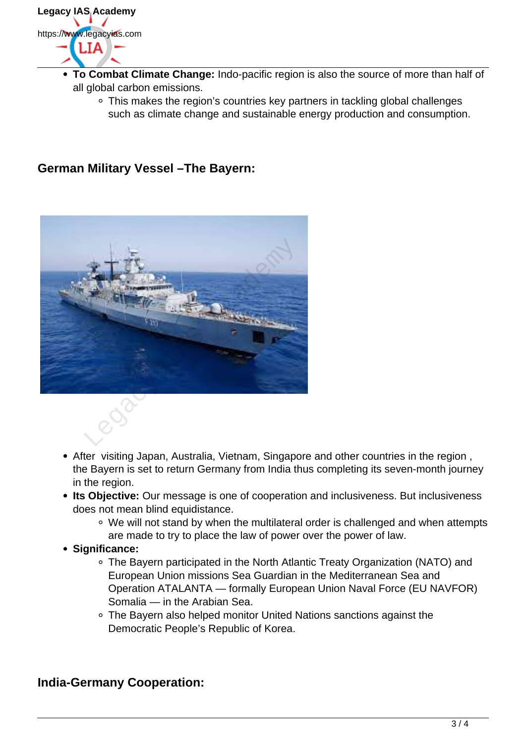

- **To Combat Climate Change:** Indo-pacific region is also the source of more than half of all global carbon emissions.
	- This makes the region's countries key partners in tackling global challenges such as climate change and sustainable energy production and consumption.

### **German Military Vessel –The Bayern:**



- After visiting Japan, Australia, Vietnam, Singapore and other countries in the region , the Bayern is set to return Germany from India thus completing its seven-month journey in the region.
- **Its Objective:** Our message is one of cooperation and inclusiveness. But inclusiveness does not mean blind equidistance.
	- We will not stand by when the multilateral order is challenged and when attempts are made to try to place the law of power over the power of law.
- **Significance:**
	- The Bayern participated in the North Atlantic Treaty Organization (NATO) and European Union missions Sea Guardian in the Mediterranean Sea and Operation ATALANTA — formally European Union Naval Force (EU NAVFOR) Somalia — in the Arabian Sea.
	- The Bayern also helped monitor United Nations sanctions against the Democratic People's Republic of Korea.

### **India-Germany Cooperation:**